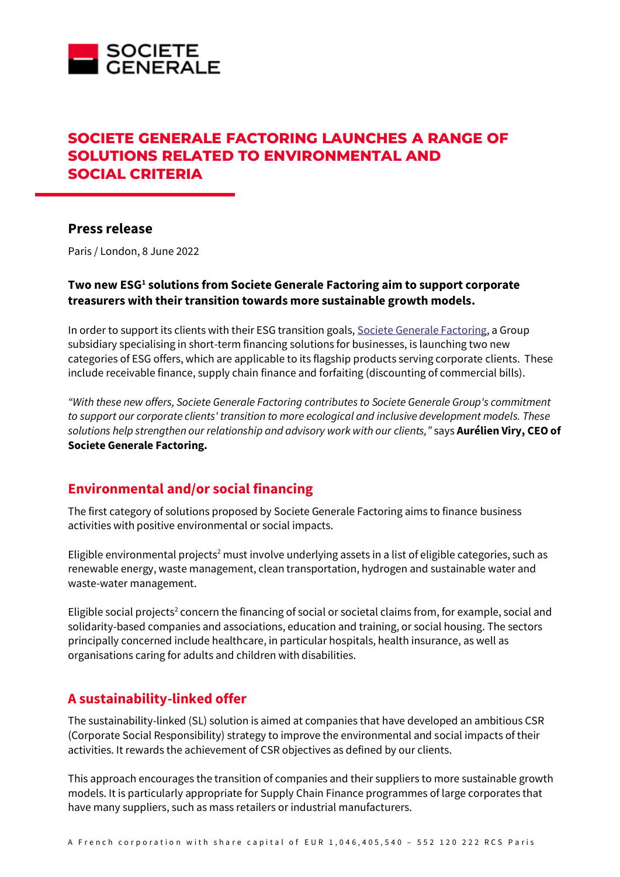

# **SOCIETE GENERALE FACTORING LAUNCHES A RANGE OF SOLUTIONS RELATED TO ENVIRONMENTAL AND SOCIAL CRITERIA**

### **Press release**

Paris / London, 8 June 2022

#### **Two new ESG<sup>1</sup> solutions from Societe Generale Factoring aim to support corporate treasurers with their transition towards more sustainable growth models.**

In order to support its clients with their ESG transition goals[, Societe Generale Factoring,](https://factoring.societegenerale.com/en/) a Group subsidiary specialising in short-term financing solutions for businesses, is launching two new categories of ESG offers, which are applicable to its flagship products serving corporate clients. These include receivable finance, supply chain finance and forfaiting (discounting of commercial bills).

*"With these new offers, Societe Generale Factoring contributes to Societe Generale Group's commitment to support our corporate clients' transition to more ecological and inclusive development models. These solutions help strengthen our relationship and advisory work with our clients,"* says **Aurélien Viry, CEO of Societe Generale Factoring.**

## **Environmental and/or social financing**

The first category of solutions proposed by Societe Generale Factoring aims to finance business activities with positive environmental or social impacts.

Eligible environmental projects<sup>2</sup> must involve underlying assets in a list of eligible categories, such as renewable energy, waste management, clean transportation, hydrogen and sustainable water and waste-water management.

Eligible social projects<sup>2</sup> concern the financing of social or societal claims from, for example, social and solidarity-based companies and associations, education and training, or social housing. The sectors principally concerned include healthcare, in particular hospitals, health insurance, as well as organisations caring for adults and children with disabilities.

## **A sustainability-linked offer**

The sustainability-linked (SL) solution is aimed at companies that have developed an ambitious CSR (Corporate Social Responsibility) strategy to improve the environmental and social impacts of their activities. It rewards the achievement of CSR objectives as defined by our clients.

This approach encourages the transition of companies and their suppliers to more sustainable growth models. It is particularly appropriate for Supply Chain Finance programmes of large corporates that have many suppliers, such as mass retailers or industrial manufacturers.